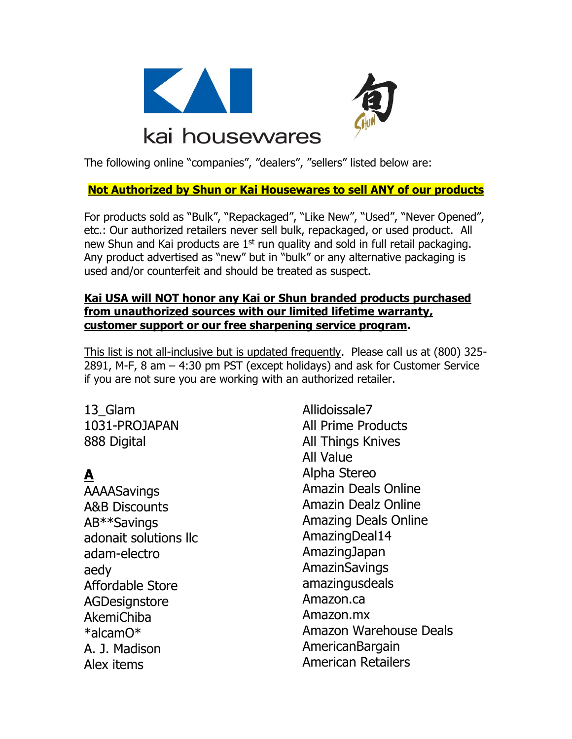



# kai housewares

The following online "companies", "dealers", "sellers" listed below are:

#### **Not Authorized by Shun or Kai Housewares to sell ANY of our products**

For products sold as "Bulk", "Repackaged", "Like New", "Used", "Never Opened", etc.: Our authorized retailers never sell bulk, repackaged, or used product. All new Shun and Kai products are  $1<sup>st</sup>$  run quality and sold in full retail packaging. Any product advertised as "new" but in "bulk" or any alternative packaging is used and/or counterfeit and should be treated as suspect.

#### **Kai USA will NOT honor any Kai or Shun branded products purchased from unauthorized sources with our limited lifetime warranty, customer support or our free sharpening service program.**

This list is not all-inclusive but is updated frequently. Please call us at (800) 325- 2891, M-F, 8 am – 4:30 pm PST (except holidays) and ask for Customer Service if you are not sure you are working with an authorized retailer.

# 13\_Glam

1031-PROJAPAN 888 Digital

## **A**

**AAAASavings** A&B Discounts AB\*\*Savings adonait solutions llc adam-electro aedy Affordable Store **AGDesignstore** AkemiChiba \*alcamO\* A. J. Madison Alex items

Allidoissale7 All Prime Products All Things Knives All Value Alpha Stereo Amazin Deals Online Amazin Dealz Online Amazing Deals Online AmazingDeal14 AmazingJapan AmazinSavings amazingusdeals Amazon.ca Amazon.mx Amazon Warehouse Deals AmericanBargain American Retailers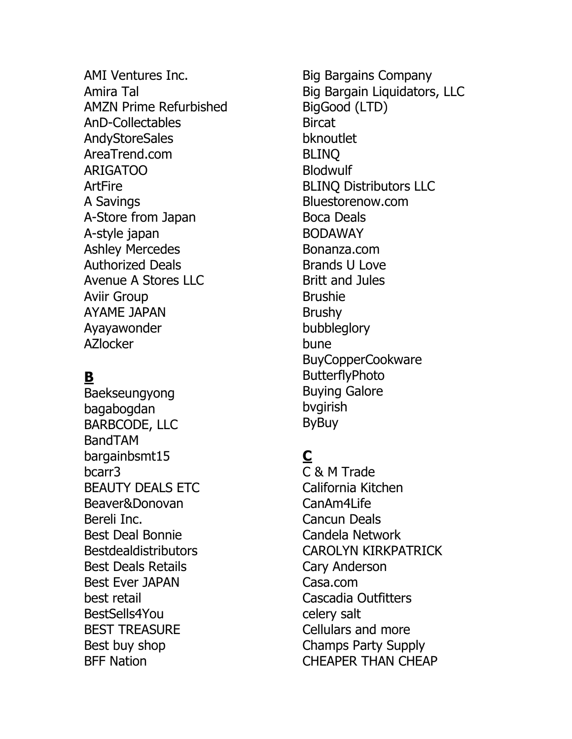AMI Ventures Inc. Amira Tal AMZN Prime Refurbished AnD-Collectables **AndyStoreSales** AreaTrend.com ARIGATOO ArtFire A Savings A-Store from Japan A-style japan Ashley Mercedes Authorized Deals Avenue A Stores LLC Aviir Group AYAME JAPAN Ayayawonder AZlocker

### **B**

Baekseungyong bagabogdan BARBCODE, LLC BandTAM bargainbsmt15 bcarr3 BEAUTY DEALS ETC Beaver&Donovan Bereli Inc. Best Deal Bonnie **Bestdealdistributors** Best Deals Retails Best Ever JAPAN best retail BestSells4You BEST TREASURE Best buy shop BFF Nation

Big Bargains Company Big Bargain Liquidators, LLC BigGood (LTD) **Bircat** bknoutlet BLINQ Blodwulf BLINQ Distributors LLC Bluestorenow.com Boca Deals BODAWAY Bonanza.com Brands U Love Britt and Jules Brushie Brushy bubbleglory bune BuyCopperCookware ButterflyPhoto Buying Galore bvgirish ByBuy

### **C**

C & M Trade California Kitchen CanAm4Life Cancun Deals Candela Network CAROLYN KIRKPATRICK Cary Anderson Casa.com Cascadia Outfitters celery salt Cellulars and more Champs Party Supply CHEAPER THAN CHEAP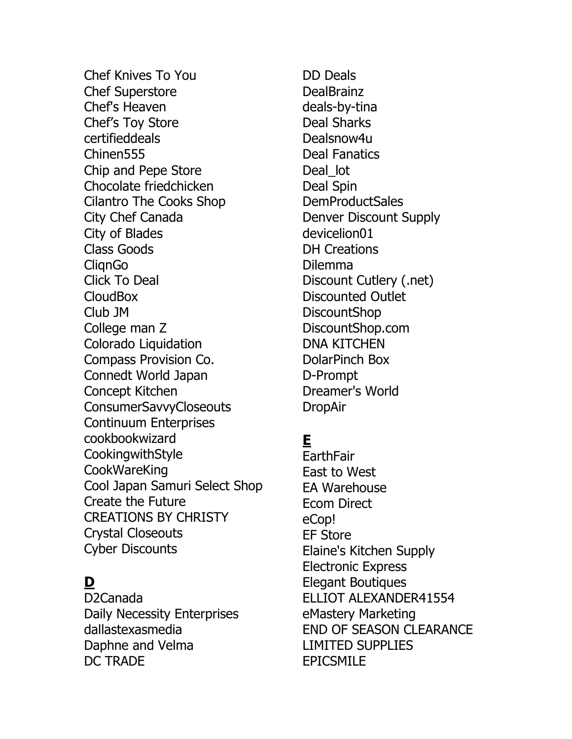Chef Knives To You Chef Superstore Chef's Heaven Chef's Toy Store certifieddeals Chinen555 Chip and Pepe Store Chocolate friedchicken Cilantro The Cooks Shop City Chef Canada City of Blades Class Goods **ClianGo** Click To Deal CloudBox Club JM College man Z Colorado Liquidation Compass Provision Co. Connedt World Japan Concept Kitchen **ConsumerSavvyCloseouts** Continuum Enterprises cookbookwizard CookingwithStyle CookWareKing Cool Japan Samuri Select Shop Create the Future CREATIONS BY CHRISTY Crystal Closeouts Cyber Discounts

### **D**

D2Canada Daily Necessity Enterprises dallastexasmedia Daphne and Velma DC TRADE

DD Deals DealBrainz deals-by-tina Deal Sharks Dealsnow4u Deal Fanatics Deal lot Deal Spin DemProductSales Denver Discount Supply devicelion01 DH Creations Dilemma Discount Cutlery (.net) Discounted Outlet DiscountShop DiscountShop.com DNA KITCHEN DolarPinch Box D-Prompt Dreamer's World DropAir

### **E**

**EarthFair** East to West EA Warehouse Ecom Direct eCop! EF Store Elaine's Kitchen Supply Electronic Express Elegant Boutiques ELLIOT ALEXANDER41554 eMastery Marketing END OF SEASON CLEARANCE LIMITED SUPPLIES EPICSMILE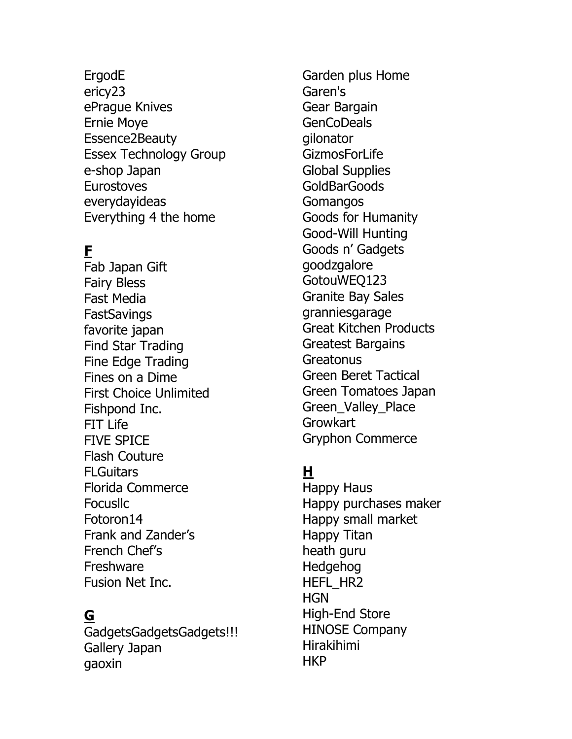ErgodE ericy23 ePrague Knives Ernie Moye Essence2Beauty Essex Technology Group e-shop Japan **Eurostoves** everydayideas Everything 4 the home

### **F**

Fab Japan Gift Fairy Bless Fast Media **FastSavings** favorite japan Find Star Trading Fine Edge Trading Fines on a Dime First Choice Unlimited Fishpond Inc. FIT Life FIVE SPICE Flash Couture **FLGuitars** Florida Commerce Focusllc Fotoron14 Frank and Zander's French Chef's Freshware Fusion Net Inc.

#### **G**

GadgetsGadgetsGadgets!!! Gallery Japan gaoxin

Garden plus Home Garen's Gear Bargain GenCoDeals gilonator GizmosForLife Global Supplies GoldBarGoods Gomangos Goods for Humanity Good-Will Hunting Goods n' Gadgets goodzgalore GotouWEQ123 Granite Bay Sales granniesgarage Great Kitchen Products Greatest Bargains **Greatonus** Green Beret Tactical Green Tomatoes Japan Green\_Valley\_Place Growkart Gryphon Commerce

#### **H**

Happy Haus Happy purchases maker Happy small market Happy Titan heath guru Hedgehog HEFL\_HR2 **HGN** High-End Store HINOSE Company Hirakihimi HKP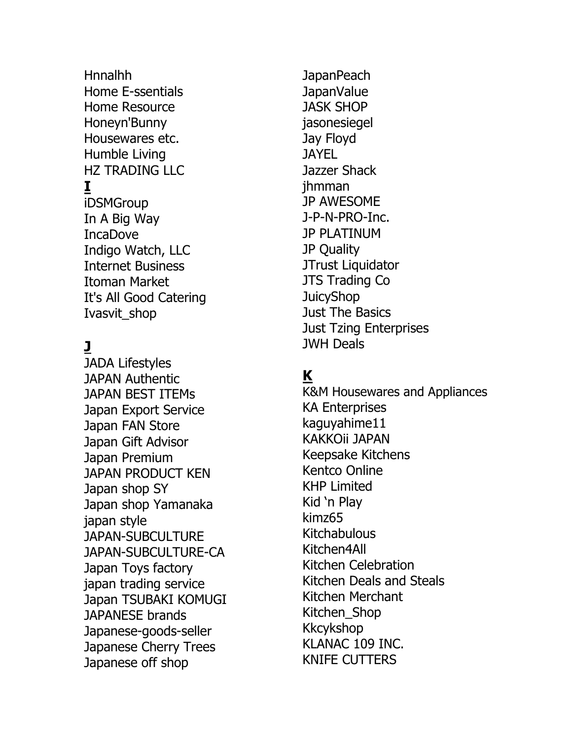Hnnalhh Home E-ssentials Home Resource Honeyn'Bunny Housewares etc. Humble Living HZ TRADING LLC

### **I**

iDSMGroup In A Big Way IncaDove Indigo Watch, LLC Internet Business Itoman Market It's All Good Catering Ivasvit\_shop

### **J**

JADA Lifestyles JAPAN Authentic JAPAN BEST ITEMs Japan Export Service Japan FAN Store Japan Gift Advisor Japan Premium JAPAN PRODUCT KEN Japan shop SY Japan shop Yamanaka japan style JAPAN-SUBCULTURE JAPAN-SUBCULTURE-CA Japan Toys factory japan trading service Japan TSUBAKI KOMUGI JAPANESE brands Japanese-goods-seller Japanese Cherry Trees Japanese off shop

**JapanPeach** JapanValue JASK SHOP jasonesiegel Jay Floyd **JAYEL** Jazzer Shack jhmman JP AWESOME J-P-N-PRO-Inc. JP PLATINUM JP Quality JTrust Liquidator JTS Trading Co **JuicyShop** Just The Basics Just Tzing Enterprises JWH Deals

#### **K**

K&M Housewares and Appliances KA Enterprises kaguyahime11 KAKKOii JAPAN Keepsake Kitchens Kentco Online KHP Limited Kid 'n Play kimz65 Kitchabulous Kitchen4All Kitchen Celebration Kitchen Deals and Steals Kitchen Merchant Kitchen\_Shop Kkcykshop KLANAC 109 INC. KNIFE CUTTERS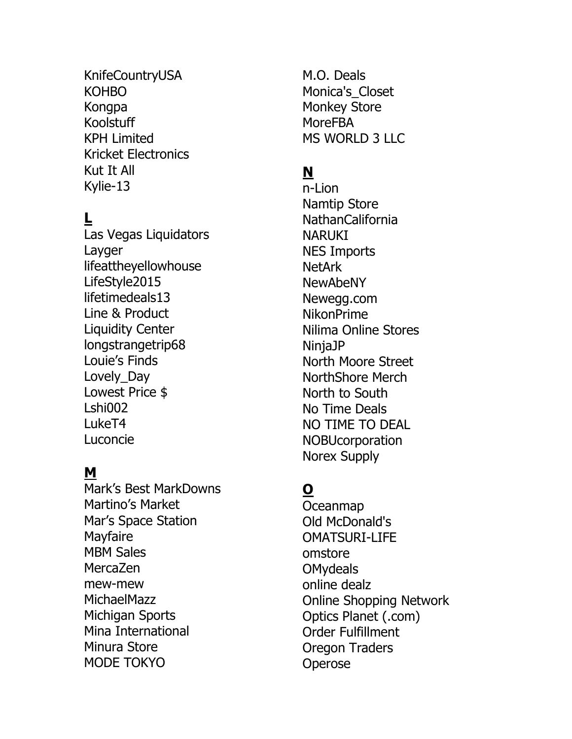KnifeCountryUSA KOHBO Kongpa Koolstuff KPH Limited Kricket Electronics Kut It All Kylie-13

### **L**

Las Vegas Liquidators Layger lifeattheyellowhouse LifeStyle2015 lifetimedeals13 Line & Product Liquidity Center longstrangetrip68 Louie's Finds Lovely\_Day Lowest Price \$ Lshi002 LukeT4 Luconcie

#### **M**

Mark's Best MarkDowns Martino's Market Mar's Space Station **Mayfaire** MBM Sales MercaZen mew-mew MichaelMazz Michigan Sports Mina International Minura Store MODE TOKYO

M.O. Deals Monica's Closet Monkey Store MoreFBA MS WORLD 3 LLC

## **N**

n-Lion Namtip Store NathanCalifornia NARUKI NES Imports NetArk NewAbeNY Newegg.com NikonPrime Nilima Online Stores NinjaJP North Moore Street NorthShore Merch North to South No Time Deals NO TIME TO DEAL **NOBUcorporation** Norex Supply

## **O**

Oceanmap Old McDonald's OMATSURI-LIFE omstore OMydeals online dealz Online Shopping Network Optics Planet (.com) Order Fulfillment Oregon Traders **Operose**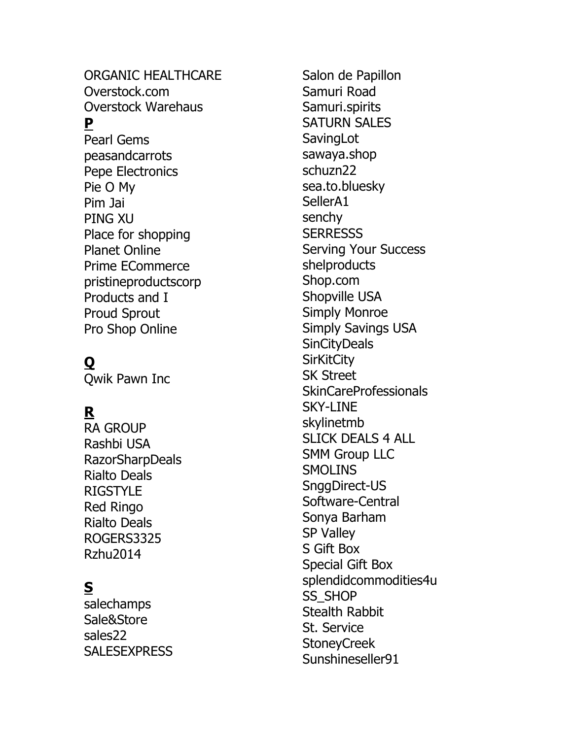ORGANIC HEALTHCARE Overstock.com Overstock Warehaus

#### **P**

Pearl Gems peasandcarrots Pepe Electronics Pie O My Pim Jai PING XU Place for shopping Planet Online Prime ECommerce pristineproductscorp Products and I Proud Sprout Pro Shop Online

## **Q**

Qwik Pawn Inc

### **R**

RA GROUP Rashbi USA RazorSharpDeals Rialto Deals RIGSTYLE Red Ringo Rialto Deals ROGERS3325 Rzhu2014

### **S**

salechamps Sale&Store sales22 **SALESEXPRESS** 

Salon de Papillon Samuri Road Samuri.spirits SATURN SALES **SavingLot** sawaya.shop schuzn22 sea.to.bluesky SellerA1 senchy **SERRESSS** Serving Your Success shelproducts Shop.com Shopville USA Simply Monroe Simply Savings USA **SinCityDeals SirKitCity** SK Street SkinCareProfessionals SKY -LINE skylinetmb SLICK DEALS 4 ALL SMM Group LLC **SMOLINS** SnggDirect -US Software -Central Sonya Barham SP Valley S Gift Box Special Gift Box splendidcommodities4u SS\_SHOP Stealth Rabbit St. Service StoneyCreek Sunshineseller91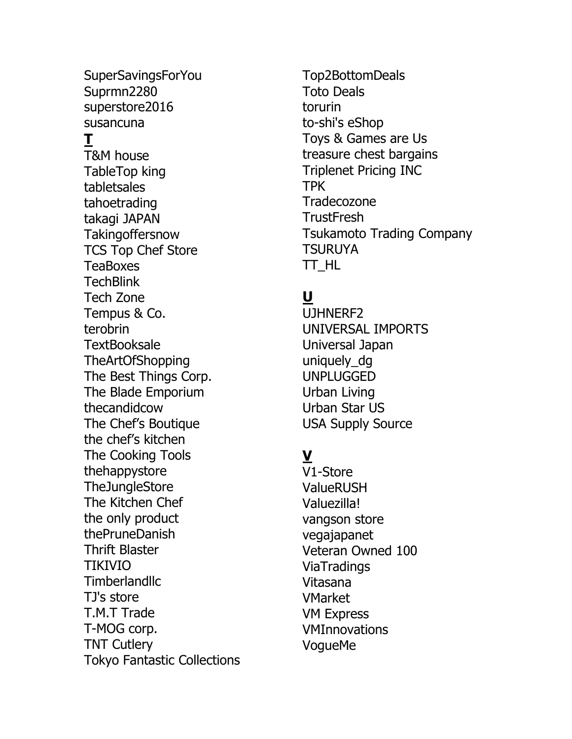SuperSavingsForYou Suprmn2280 superstore2016 susancuna **T** T&M house TableTop king tabletsales tahoetrading takagi JAPAN Takingoffersnow TCS Top Chef Store **TeaBoxes TechBlink** Tech Zone Tempus & Co. terobrin **TextBooksale** TheArtOfShopping The Best Things Corp. The Blade Emporium thecandidcow The Chef's Boutique the chef's kitchen The Cooking Tools thehappystore TheJungleStore The Kitchen Chef the only product thePruneDanish Thrift Blaster TIKIVIO **Timberlandllc** TJ's store T.M.T Trade T-MOG corp. TNT Cutlery Tokyo Fantastic Collections Top2BottomDeals Toto Deals torurin to-shi's eShop Toys & Games are Us treasure chest bargains Triplenet Pricing INC TPK Tradecozone **TrustFresh** Tsukamoto Trading Company TSURUYA TT\_HL

## **U**

UJHNERF2 UNIVERSAL IMPORTS Universal Japan uniquely\_dg UNPLUGGED Urban Living Urban Star US USA Supply Source

### **V**

V1-Store ValueRUSH Valuezilla! vangson store vegajapanet Veteran Owned 100 **ViaTradings** Vitasana VMarket VM Express VMInnovations VogueMe